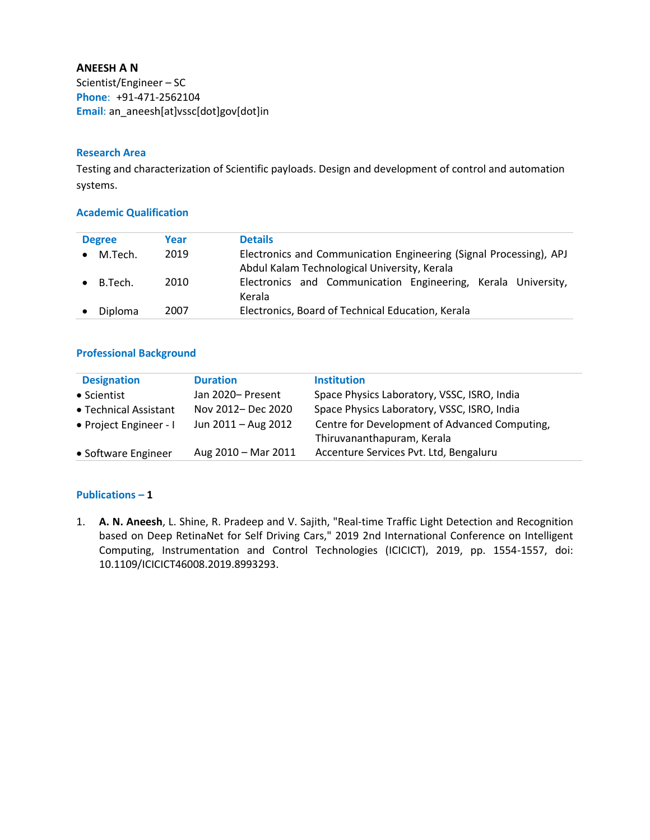**ANEESH A N** Scientist/Engineer – SC **Phone**: +91-471-2562104 **Email**: an\_aneesh[at]vssc[dot]gov[dot]in

### **Research Area**

Testing and characterization of Scientific payloads. Design and development of control and automation systems.

### **Academic Qualification**

| <b>Degree</b> |                   | Year | <b>Details</b>                                                                                                     |  |
|---------------|-------------------|------|--------------------------------------------------------------------------------------------------------------------|--|
|               | M.Tech.           | 2019 | Electronics and Communication Engineering (Signal Processing), APJ<br>Abdul Kalam Technological University, Kerala |  |
|               | $\bullet$ B.Tech. | 2010 | Electronics and Communication Engineering, Kerala University,<br>Kerala                                            |  |
|               | Diploma           | 2007 | Electronics, Board of Technical Education, Kerala                                                                  |  |

## **Professional Background**

| <b>Designation</b>     | <b>Duration</b>     | <b>Institution</b>                                                          |
|------------------------|---------------------|-----------------------------------------------------------------------------|
| • Scientist            | Jan 2020– Present   | Space Physics Laboratory, VSSC, ISRO, India                                 |
| • Technical Assistant  | Nov 2012- Dec 2020  | Space Physics Laboratory, VSSC, ISRO, India                                 |
| • Project Engineer - I | Jun 2011 - Aug 2012 | Centre for Development of Advanced Computing,<br>Thiruvananthapuram, Kerala |
| • Software Engineer    | Aug 2010 - Mar 2011 | Accenture Services Pvt. Ltd, Bengaluru                                      |

### **Publications – 1**

1. **A. N. Aneesh**, L. Shine, R. Pradeep and V. Sajith, "Real-time Traffic Light Detection and Recognition based on Deep RetinaNet for Self Driving Cars," 2019 2nd International Conference on Intelligent Computing, Instrumentation and Control Technologies (ICICICT), 2019, pp. 1554-1557, doi: 10.1109/ICICICT46008.2019.8993293.